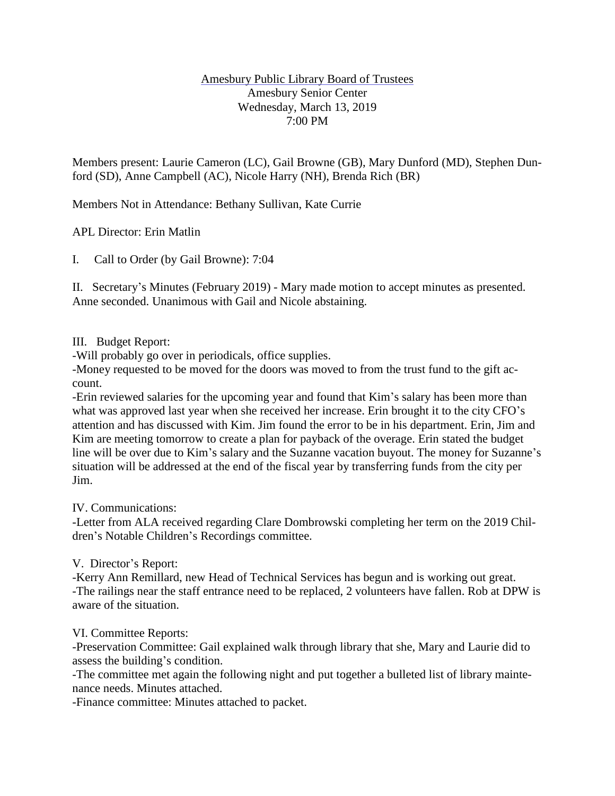### Amesbury Public Library Board of Trustees Amesbury Senior Center Wednesday, March 13, 2019 7:00 PM

Members present: Laurie Cameron (LC), Gail Browne (GB), Mary Dunford (MD), Stephen Dunford (SD), Anne Campbell (AC), Nicole Harry (NH), Brenda Rich (BR)

Members Not in Attendance: Bethany Sullivan, Kate Currie

APL Director: Erin Matlin

I. Call to Order (by Gail Browne): 7:04

II. Secretary's Minutes (February 2019) - Mary made motion to accept minutes as presented. Anne seconded. Unanimous with Gail and Nicole abstaining.

### III. Budget Report:

-Will probably go over in periodicals, office supplies.

-Money requested to be moved for the doors was moved to from the trust fund to the gift account.

-Erin reviewed salaries for the upcoming year and found that Kim's salary has been more than what was approved last year when she received her increase. Erin brought it to the city CFO's attention and has discussed with Kim. Jim found the error to be in his department. Erin, Jim and Kim are meeting tomorrow to create a plan for payback of the overage. Erin stated the budget line will be over due to Kim's salary and the Suzanne vacation buyout. The money for Suzanne's situation will be addressed at the end of the fiscal year by transferring funds from the city per Jim.

IV. Communications:

-Letter from ALA received regarding Clare Dombrowski completing her term on the 2019 Children's Notable Children's Recordings committee.

# V. Director's Report:

-Kerry Ann Remillard, new Head of Technical Services has begun and is working out great. -The railings near the staff entrance need to be replaced, 2 volunteers have fallen. Rob at DPW is aware of the situation.

# VI. Committee Reports:

-Preservation Committee: Gail explained walk through library that she, Mary and Laurie did to assess the building's condition.

-The committee met again the following night and put together a bulleted list of library maintenance needs. Minutes attached.

-Finance committee: Minutes attached to packet.